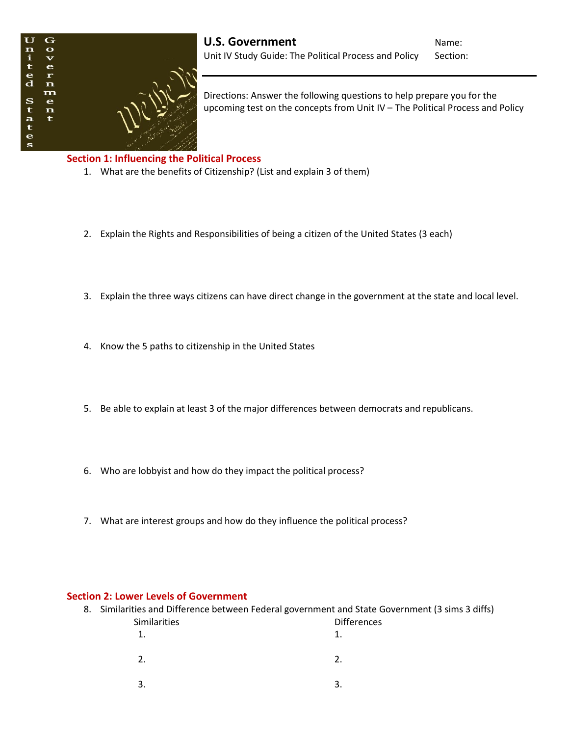

Directions: Answer the following questions to help prepare you for the upcoming test on the concepts from Unit IV – The Political Process and Policy

## **Section 1: Influencing the Political Process**

- 1. What are the benefits of Citizenship? (List and explain 3 of them)
- 2. Explain the Rights and Responsibilities of being a citizen of the United States (3 each)
- 3. Explain the three ways citizens can have direct change in the government at the state and local level.
- 4. Know the 5 paths to citizenship in the United States
- 5. Be able to explain at least 3 of the major differences between democrats and republicans.
- 6. Who are lobbyist and how do they impact the political process?
- 7. What are interest groups and how do they influence the political process?

## **Section 2: Lower Levels of Government**

|              | 8. Similarities and Difference between Federal government and State Government (3 sims 3 diffs) |
|--------------|-------------------------------------------------------------------------------------------------|
| Similarities | <b>Differences</b>                                                                              |
|              |                                                                                                 |
|              |                                                                                                 |
|              |                                                                                                 |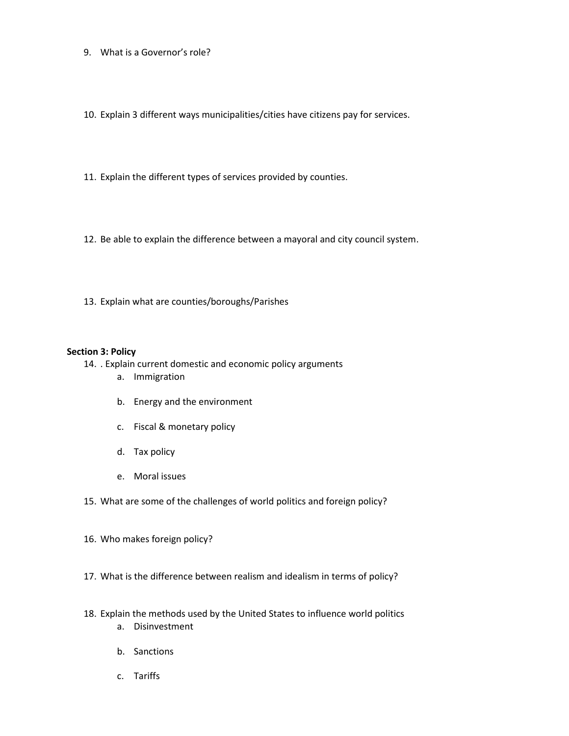- 9. What is a Governor's role?
- 10. Explain 3 different ways municipalities/cities have citizens pay for services.
- 11. Explain the different types of services provided by counties.
- 12. Be able to explain the difference between a mayoral and city council system.
- 13. Explain what are counties/boroughs/Parishes

## **Section 3: Policy**

- 14. . Explain current domestic and economic policy arguments
	- a. Immigration
	- b. Energy and the environment
	- c. Fiscal & monetary policy
	- d. Tax policy
	- e. Moral issues
- 15. What are some of the challenges of world politics and foreign policy?
- 16. Who makes foreign policy?
- 17. What is the difference between realism and idealism in terms of policy?
- 18. Explain the methods used by the United States to influence world politics a. Disinvestment
	- b. Sanctions
	- c. Tariffs